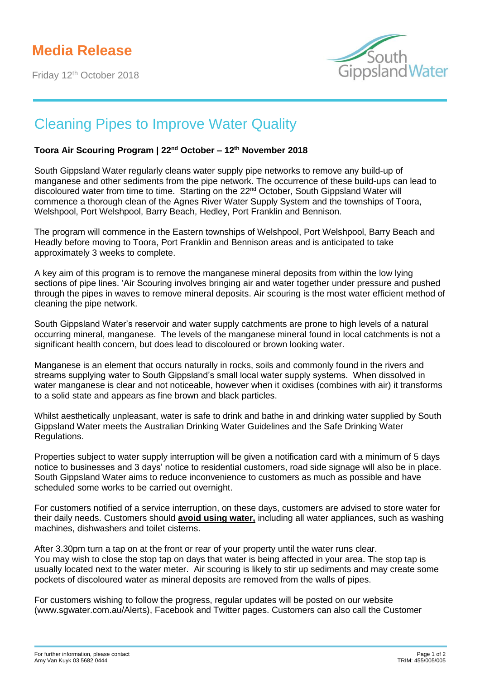## **Media Release**

Friday 12th October 2018



## Cleaning Pipes to Improve Water Quality

## **Toora Air Scouring Program | 22 nd October – 12 th November 2018**

South Gippsland Water regularly cleans water supply pipe networks to remove any build-up of manganese and other sediments from the pipe network. The occurrence of these build-ups can lead to discoloured water from time to time. Starting on the 22<sup>nd</sup> October, South Gippsland Water will commence a thorough clean of the Agnes River Water Supply System and the townships of Toora, Welshpool, Port Welshpool, Barry Beach, Hedley, Port Franklin and Bennison.

The program will commence in the Eastern townships of Welshpool, Port Welshpool, Barry Beach and Headly before moving to Toora, Port Franklin and Bennison areas and is anticipated to take approximately 3 weeks to complete.

A key aim of this program is to remove the manganese mineral deposits from within the low lying sections of pipe lines. 'Air Scouring involves bringing air and water together under pressure and pushed through the pipes in waves to remove mineral deposits. Air scouring is the most water efficient method of cleaning the pipe network.

South Gippsland Water's reservoir and water supply catchments are prone to high levels of a natural occurring mineral, manganese. The levels of the manganese mineral found in local catchments is not a significant health concern, but does lead to discoloured or brown looking water.

Manganese is an element that occurs naturally in rocks, soils and commonly found in the rivers and streams supplying water to South Gippsland's small local water supply systems. When dissolved in water manganese is clear and not noticeable, however when it oxidises (combines with air) it transforms to a solid state and appears as fine brown and black particles.

Whilst aesthetically unpleasant, water is safe to drink and bathe in and drinking water supplied by South Gippsland Water meets the Australian Drinking Water Guidelines and the Safe Drinking Water Regulations.

Properties subject to water supply interruption will be given a notification card with a minimum of 5 days notice to businesses and 3 days' notice to residential customers, road side signage will also be in place. South Gippsland Water aims to reduce inconvenience to customers as much as possible and have scheduled some works to be carried out overnight.

For customers notified of a service interruption, on these days, customers are advised to store water for their daily needs. Customers should **avoid using water,** including all water appliances, such as washing machines, dishwashers and toilet cisterns.

After 3.30pm turn a tap on at the front or rear of your property until the water runs clear. You may wish to close the stop tap on days that water is being affected in your area. The stop tap is usually located next to the water meter. Air scouring is likely to stir up sediments and may create some pockets of discoloured water as mineral deposits are removed from the walls of pipes.

For customers wishing to follow the progress, regular updates will be posted on our website (www.sgwater.com.au/Alerts), Facebook and Twitter pages. Customers can also call the Customer